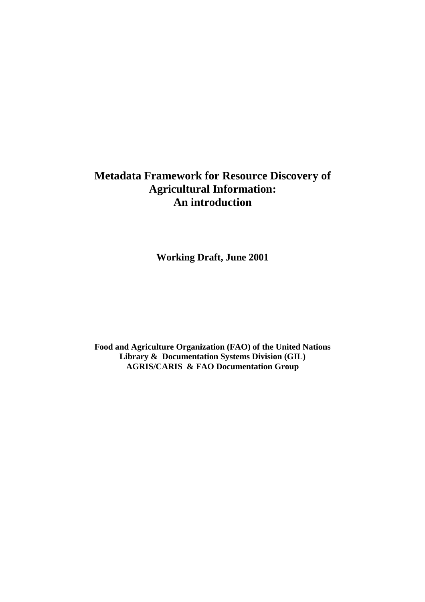# **Metadata Framework for Resource Discovery of Agricultural Information: An introduction**

**Working Draft, June 2001** 

**Food and Agriculture Organization (FAO) of the United Nations Library & Documentation Systems Division (GIL) AGRIS/CARIS & FAO Documentation Group**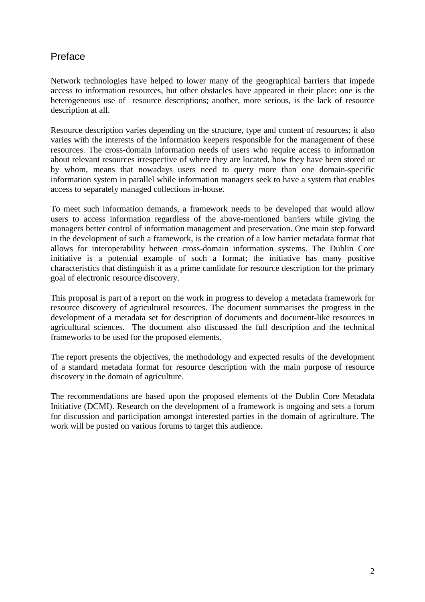## Preface

Network technologies have helped to lower many of the geographical barriers that impede access to information resources, but other obstacles have appeared in their place: one is the heterogeneous use of resource descriptions; another, more serious, is the lack of resource description at all.

Resource description varies depending on the structure, type and content of resources; it also varies with the interests of the information keepers responsible for the management of these resources. The cross-domain information needs of users who require access to information about relevant resources irrespective of where they are located, how they have been stored or by whom, means that nowadays users need to query more than one domain-specific information system in parallel while information managers seek to have a system that enables access to separately managed collections in-house.

To meet such information demands, a framework needs to be developed that would allow users to access information regardless of the above-mentioned barriers while giving the managers better control of information management and preservation. One main step forward in the development of such a framework, is the creation of a low barrier metadata format that allows for interoperability between cross-domain information systems. The Dublin Core initiative is a potential example of such a format; the initiative has many positive characteristics that distinguish it as a prime candidate for resource description for the primary goal of electronic resource discovery.

This proposal is part of a report on the work in progress to develop a metadata framework for resource discovery of agricultural resources. The document summarises the progress in the development of a metadata set for description of documents and document-like resources in agricultural sciences. The document also discussed the full description and the technical frameworks to be used for the proposed elements.

The report presents the objectives, the methodology and expected results of the development of a standard metadata format for resource description with the main purpose of resource discovery in the domain of agriculture.

The recommendations are based upon the proposed elements of the Dublin Core Metadata Initiative (DCMI). Research on the development of a framework is ongoing and sets a forum for discussion and participation amongst interested parties in the domain of agriculture. The work will be posted on various forums to target this audience.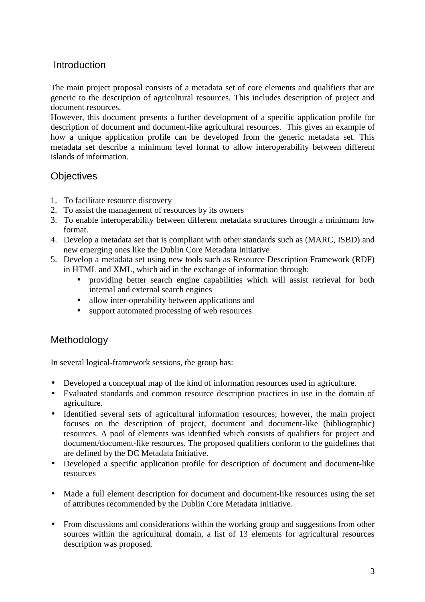#### **Introduction**

The main project proposal consists of a metadata set of core elements and qualifiers that are generic to the description of agricultural resources. This includes description of project and document resources.

However, this document presents a further development of a specific application profile for description of document and document-like agricultural resources. This gives an example of how a unique application profile can be developed from the generic metadata set. This metadata set describe a minimum level format to allow interoperability between different islands of information.

#### **Objectives**

- 1. To facilitate resource discovery
- 2. To assist the management of resources by its owners
- 3. To enable interoperability between different metadata structures through a minimum low format.
- 4. Develop a metadata set that is compliant with other standards such as (MARC, ISBD) and new emerging ones like the Dublin Core Metadata Initiative
- 5. Develop a metadata set using new tools such as Resource Description Framework (RDF) in HTML and XML, which aid in the exchange of information through:
	- providing better search engine capabilities which will assist retrieval for both internal and external search engines
	- allow inter-operability between applications and
	- support automated processing of web resources

### Methodology

In several logical-framework sessions, the group has:

- Developed a conceptual map of the kind of information resources used in agriculture.
- Evaluated standards and common resource description practices in use in the domain of agriculture.
- Identified several sets of agricultural information resources; however, the main project focuses on the description of project, document and document-like (bibliographic) resources. A pool of elements was identified which consists of qualifiers for project and document/document-like resources. The proposed qualifiers conform to the guidelines that are defined by the DC Metadata Initiative.
- Developed a specific application profile for description of document and document-like resources
- Made a full element description for document and document-like resources using the set of attributes recommended by the Dublin Core Metadata Initiative.
- From discussions and considerations within the working group and suggestions from other sources within the agricultural domain, a list of 13 elements for agricultural resources description was proposed.